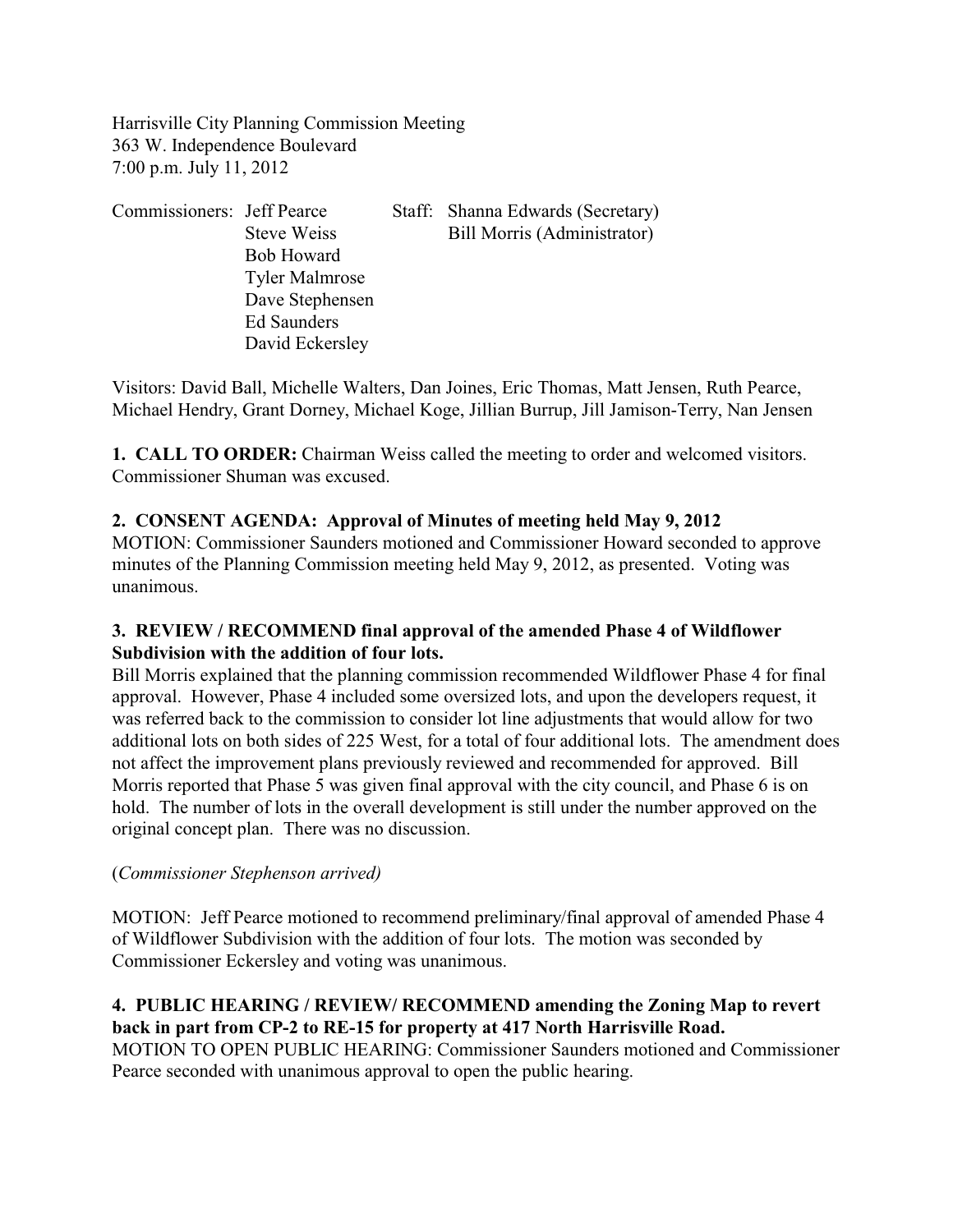Harrisville City Planning Commission Meeting 363 W. Independence Boulevard 7:00 p.m. July 11, 2012

| Commissioners: Jeff Pearce |                       | Staff: Shanna Edwards (Secretary) |
|----------------------------|-----------------------|-----------------------------------|
|                            | Steve Weiss           | Bill Morris (Administrator)       |
|                            | <b>Bob Howard</b>     |                                   |
|                            | <b>Tyler Malmrose</b> |                                   |
|                            | Dave Stephensen       |                                   |
|                            | Ed Saunders           |                                   |
|                            | David Eckersley       |                                   |

Visitors: David Ball, Michelle Walters, Dan Joines, Eric Thomas, Matt Jensen, Ruth Pearce, Michael Hendry, Grant Dorney, Michael Koge, Jillian Burrup, Jill Jamison-Terry, Nan Jensen

**1. CALL TO ORDER:** Chairman Weiss called the meeting to order and welcomed visitors. Commissioner Shuman was excused.

# **2. CONSENT AGENDA: Approval of Minutes of meeting held May 9, 2012**

MOTION: Commissioner Saunders motioned and Commissioner Howard seconded to approve minutes of the Planning Commission meeting held May 9, 2012, as presented. Voting was unanimous.

# **3. REVIEW / RECOMMEND final approval of the amended Phase 4 of Wildflower Subdivision with the addition of four lots.**

Bill Morris explained that the planning commission recommended Wildflower Phase 4 for final approval. However, Phase 4 included some oversized lots, and upon the developers request, it was referred back to the commission to consider lot line adjustments that would allow for two additional lots on both sides of 225 West, for a total of four additional lots. The amendment does not affect the improvement plans previously reviewed and recommended for approved. Bill Morris reported that Phase 5 was given final approval with the city council, and Phase 6 is on hold. The number of lots in the overall development is still under the number approved on the original concept plan. There was no discussion.

## (*Commissioner Stephenson arrived)*

MOTION: Jeff Pearce motioned to recommend preliminary/final approval of amended Phase 4 of Wildflower Subdivision with the addition of four lots. The motion was seconded by Commissioner Eckersley and voting was unanimous.

# **4. PUBLIC HEARING / REVIEW/ RECOMMEND amending the Zoning Map to revert back in part from CP-2 to RE-15 for property at 417 North Harrisville Road.**

MOTION TO OPEN PUBLIC HEARING: Commissioner Saunders motioned and Commissioner Pearce seconded with unanimous approval to open the public hearing.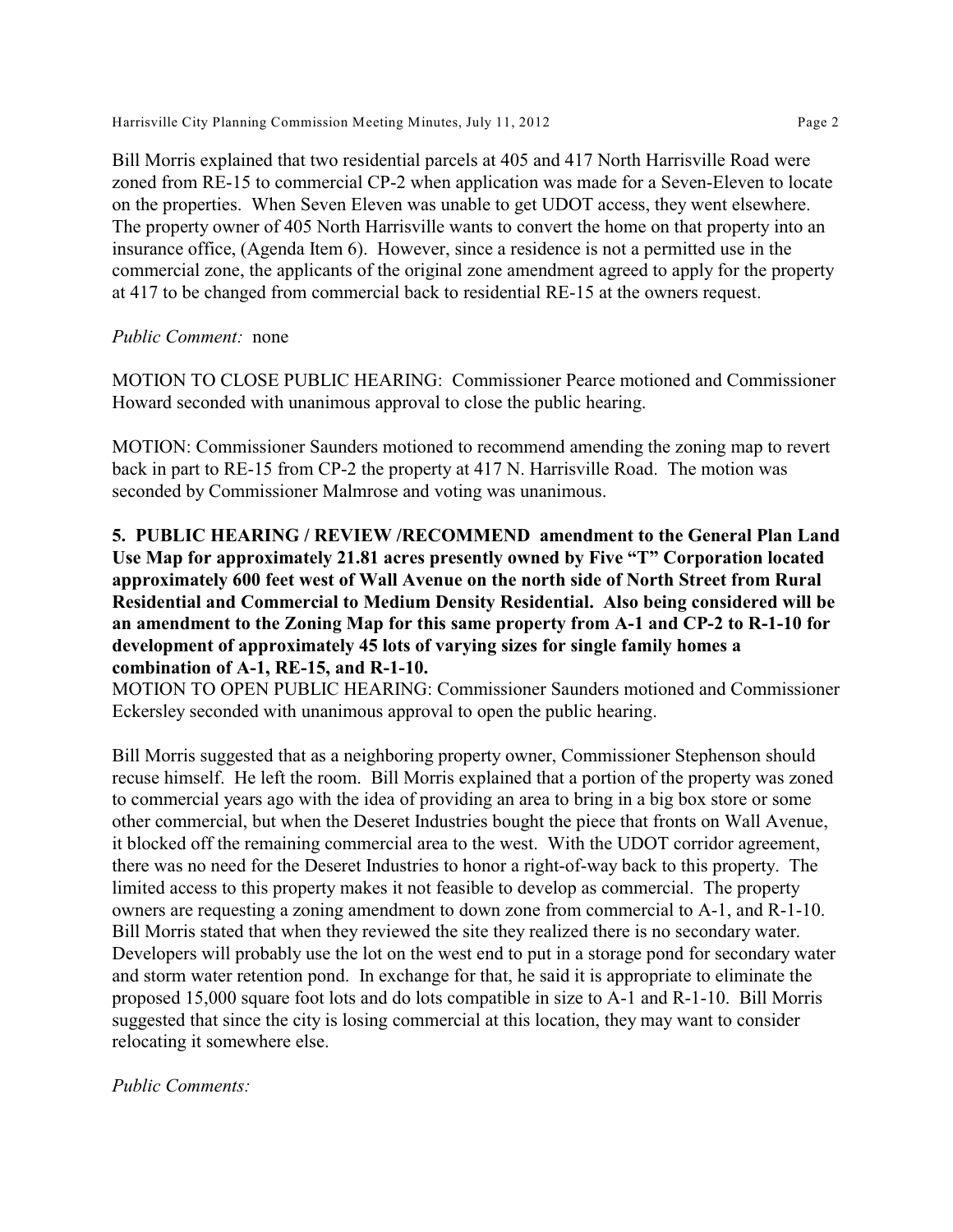Harrisville City Planning Commission Meeting Minutes, July 11, 2012 **Page 2** Page 2

Bill Morris explained that two residential parcels at 405 and 417 North Harrisville Road were zoned from RE-15 to commercial CP-2 when application was made for a Seven-Eleven to locate on the properties. When Seven Eleven was unable to get UDOT access, they went elsewhere. The property owner of 405 North Harrisville wants to convert the home on that property into an insurance office, (Agenda Item 6). However, since a residence is not a permitted use in the commercial zone, the applicants of the original zone amendment agreed to apply for the property at 417 to be changed from commercial back to residential RE-15 at the owners request.

## *Public Comment:* none

MOTION TO CLOSE PUBLIC HEARING: Commissioner Pearce motioned and Commissioner Howard seconded with unanimous approval to close the public hearing.

MOTION: Commissioner Saunders motioned to recommend amending the zoning map to revert back in part to RE-15 from CP-2 the property at 417 N. Harrisville Road. The motion was seconded by Commissioner Malmrose and voting was unanimous.

# **5. PUBLIC HEARING / REVIEW /RECOMMEND amendment to the General Plan Land Use Map for approximately 21.81 acres presently owned by Five "T" Corporation located approximately 600 feet west of Wall Avenue on the north side of North Street from Rural Residential and Commercial to Medium Density Residential. Also being considered will be an amendment to the Zoning Map for this same property from A-1 and CP-2 to R-1-10 for development of approximately 45 lots of varying sizes for single family homes a combination of A-1, RE-15, and R-1-10.**

MOTION TO OPEN PUBLIC HEARING: Commissioner Saunders motioned and Commissioner Eckersley seconded with unanimous approval to open the public hearing.

Bill Morris suggested that as a neighboring property owner, Commissioner Stephenson should recuse himself. He left the room. Bill Morris explained that a portion of the property was zoned to commercial years ago with the idea of providing an area to bring in a big box store or some other commercial, but when the Deseret Industries bought the piece that fronts on Wall Avenue, it blocked off the remaining commercial area to the west. With the UDOT corridor agreement, there was no need for the Deseret Industries to honor a right-of-way back to this property. The limited access to this property makes it not feasible to develop as commercial. The property owners are requesting a zoning amendment to down zone from commercial to A-1, and R-1-10. Bill Morris stated that when they reviewed the site they realized there is no secondary water. Developers will probably use the lot on the west end to put in a storage pond for secondary water and storm water retention pond. In exchange for that, he said it is appropriate to eliminate the proposed 15,000 square foot lots and do lots compatible in size to A-1 and R-1-10. Bill Morris suggested that since the city is losing commercial at this location, they may want to consider relocating it somewhere else.

#### *Public Comments:*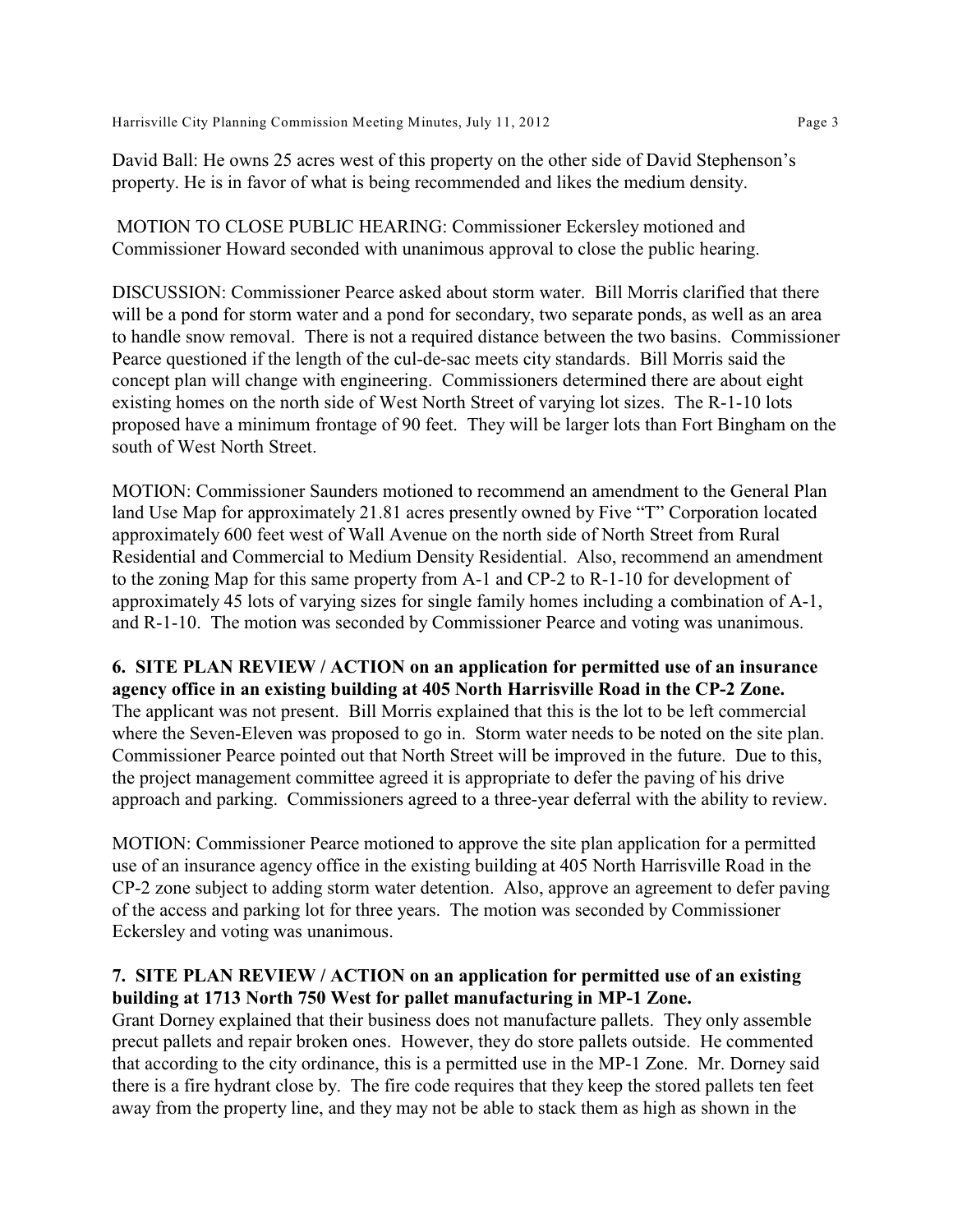David Ball: He owns 25 acres west of this property on the other side of David Stephenson's property. He is in favor of what is being recommended and likes the medium density.

 MOTION TO CLOSE PUBLIC HEARING: Commissioner Eckersley motioned and Commissioner Howard seconded with unanimous approval to close the public hearing.

DISCUSSION: Commissioner Pearce asked about storm water. Bill Morris clarified that there will be a pond for storm water and a pond for secondary, two separate ponds, as well as an area to handle snow removal. There is not a required distance between the two basins. Commissioner Pearce questioned if the length of the cul-de-sac meets city standards. Bill Morris said the concept plan will change with engineering. Commissioners determined there are about eight existing homes on the north side of West North Street of varying lot sizes. The R-1-10 lots proposed have a minimum frontage of 90 feet. They will be larger lots than Fort Bingham on the south of West North Street.

MOTION: Commissioner Saunders motioned to recommend an amendment to the General Plan land Use Map for approximately 21.81 acres presently owned by Five "T" Corporation located approximately 600 feet west of Wall Avenue on the north side of North Street from Rural Residential and Commercial to Medium Density Residential. Also, recommend an amendment to the zoning Map for this same property from A-1 and CP-2 to R-1-10 for development of approximately 45 lots of varying sizes for single family homes including a combination of A-1, and R-1-10. The motion was seconded by Commissioner Pearce and voting was unanimous.

**6. SITE PLAN REVIEW / ACTION on an application for permitted use of an insurance agency office in an existing building at 405 North Harrisville Road in the CP-2 Zone.**  The applicant was not present. Bill Morris explained that this is the lot to be left commercial where the Seven-Eleven was proposed to go in. Storm water needs to be noted on the site plan. Commissioner Pearce pointed out that North Street will be improved in the future. Due to this, the project management committee agreed it is appropriate to defer the paving of his drive approach and parking. Commissioners agreed to a three-year deferral with the ability to review.

MOTION: Commissioner Pearce motioned to approve the site plan application for a permitted use of an insurance agency office in the existing building at 405 North Harrisville Road in the CP-2 zone subject to adding storm water detention. Also, approve an agreement to defer paving of the access and parking lot for three years. The motion was seconded by Commissioner Eckersley and voting was unanimous.

## **7. SITE PLAN REVIEW / ACTION on an application for permitted use of an existing building at 1713 North 750 West for pallet manufacturing in MP-1 Zone.**

Grant Dorney explained that their business does not manufacture pallets. They only assemble precut pallets and repair broken ones. However, they do store pallets outside. He commented that according to the city ordinance, this is a permitted use in the MP-1 Zone. Mr. Dorney said there is a fire hydrant close by. The fire code requires that they keep the stored pallets ten feet away from the property line, and they may not be able to stack them as high as shown in the